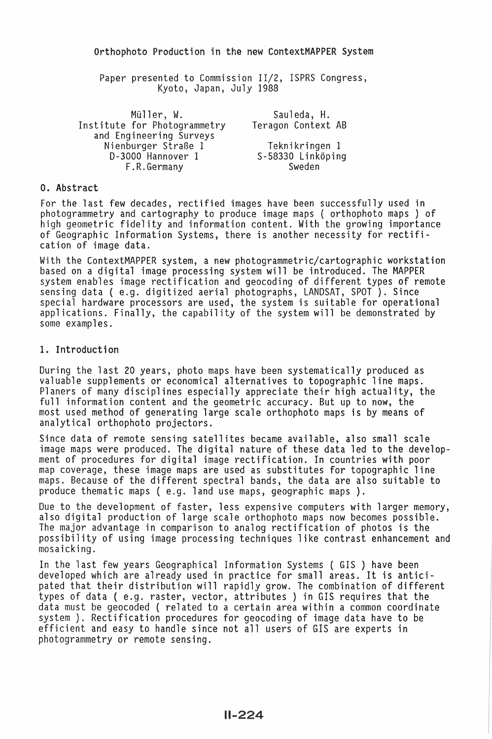Paper presented to Commission II/2, ISPRS Congress, Kyoto, Japan, July 1988

| Müller, W.                   | Sauleda, H.        |  |
|------------------------------|--------------------|--|
| Institute for Photogrammetry | Teragon Context AB |  |
| and Engineering Surveys      |                    |  |
| Nienburger Straße 1          | Teknikringen 1     |  |
| D-3000 Hannover 1            | S-58330 Linköping  |  |
| F.R.Germany                  | Sweden             |  |

# 0. Abstract

For the last few decades, rectified images have been successfully used in photogrammetry and cartography to produce image maps ( orthophoto maps ) of high geometric fidelity and information content. With the growing importance of Geographic Information Systems, there is another necessity for rectification of image data.

With the ContextMAPPER system, a new photogrammetric/cartographic workstation based on a digital image processing system will be introduced. The MAPPER system enables image rectification and geocoding of different types of remote sensing data (e.g. digitized aerial photographs, LANDSAT, SPOT). Since special hardware processors are used, the system is suitable for operational applications. Finally, the capability of the system will be demonstrated by some examples.

## 1. Introduction

During the last 20 years, photo maps have been systematically produced as valuable supplements or economical alternatives to topographic line maps. Planers of many disciplines especially appreciate their high actuality, the full information content and the geometric accuracy. But up to now, the most used method of generating large scale orthophoto maps is by means of analytical orthophoto projectors.

Since data of remote sensing satellites became available, also small scale image maps were produced. The digital nature of these data led to the development of procedures for digital image rectification. In countries with poor map coverage, these image maps are used as substitutes for topographic line maps. Because of the different spectral bands, the data are also suitable to produce thematic maps (e.g. land use maps, geographic maps).

Due to the development of faster, less expensive computers with larger memory, also digital production of large scale orthophoto maps now becomes possible.<br>The major advantage in comparison to analog rectification of photo possibility of using image processing techniques like contrast enhancement and mosaicking.

In the last few years Geographical Information Systems ( GIS ) have been developed which are already used in practice for small areas. It is anticipated that their distribution will rapidly grow. The combination of different types of data ( e.g. raster, vector, attributes ) in GIS requires that the data must be geocoded ( related to a certain area within a common coordinate system). Rectification procedures for geocoding of image data have to be efficient and easy to handle since not all users of GIS are experts in photogrammetry or remote sensing.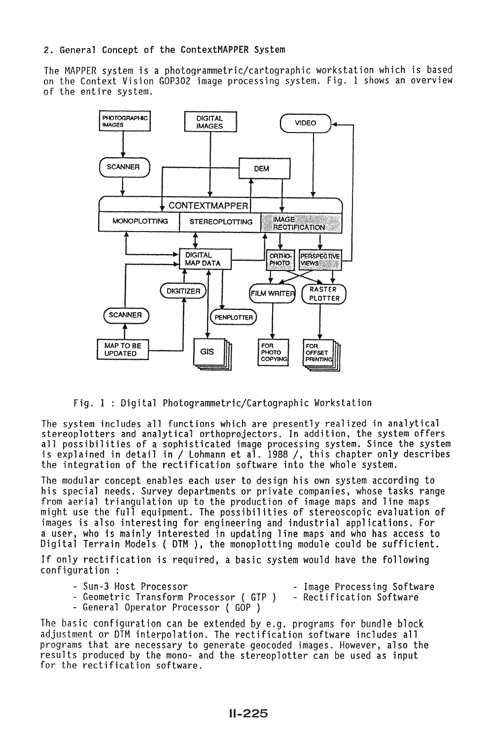### 2. General Concept of the ContextMAPPER System

The MAPPER system is a photogrammetric/cartographic workstation which is based on the Context Vision GOP302 image processing system. Fig. I shows an overview of the entire system.



Fig. 1 : Digital Photogrammetric/Cartographic Workstation

The system includes all functions which are presently realized in analytical stereoplotters and analytical orthoprojectors. In addition, the system offers all possibilities of a sophisticated image processing system. Since the system is explained in detail in / Lohmann et al. 1988 /, this chapter only describes the integration of the rectification software into the whole system.

The modular concept enables each user to design his own system according to<br>his special needs. Survey departments or private companies, whose tasks range from aerial triangulation up to the production of image maps and line maps<br>might use the full equipment. The possibilities of stereoscopic evaluation of images is also interesting for engineering and industrial applications. For a user, who is mainly interested in updating line maps and who has access to Digital Terrain Models ( DTM ), the monoplotting module could be sufficient.

If only rectification is required, a basic system would have the following configuration :

- 
- Sun-3 Host Processor<br>- Geometric Transform Processor ( GTP ) Rectification Software<br>- General Operator Processor ( GOP )
- 
- 
- 

The basic configuration can be extended by e.g. programs for bundle block adjustment or DTM interpolation. The rectification software includes all programs that are necessary to generate geocoded images. However, also the results produced by the mono- and the stereoplotter can be used as input for the rectification software.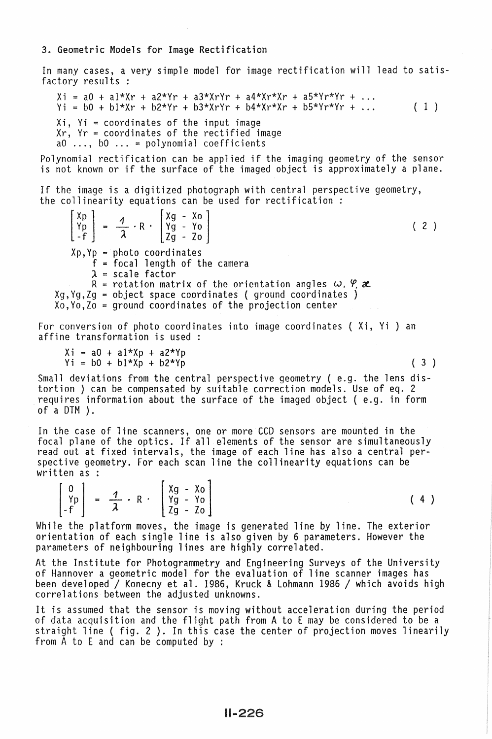### 3. Geometric Models for Image Rectification

In many cases, a very simple model for image rectification will lead to satisfactory results *:* 

 $Xi = a0 + a1*Xr + a2*Yr + a3*XrYr + a4*Xr*Xr + a5*Yr*Yr + ...$  $Yi = b0 + b1*Xr + b2*Yr + b3*XrYr + b4*Xr*Xr + b5*Yr*Yr + ...$ Xi, Yi = coordinates of the input image<br>Xr, Yr = coordinates of the rectified image<br>aO ..., bO ... = polynomial coefficients ( 1 )

Polynomial rectification can be applied if the imaging geometry of the sensor is not known or if the surface of the imaged object is approximately a plane.

If the image is a digitized photograph with central perspective geometry,<br>the collinearity equations can be used for rectification :

The arity equations can be us<br>  $\begin{bmatrix} Xp \\ Yp \\ -f \end{bmatrix} = \frac{1}{\lambda} \cdot R \cdot \begin{bmatrix} Xg - Xo \\ Yg - Yo \\ Zg - Zo \end{bmatrix}$  $Xp, Yp = photo coordinates$ f = focal length of the camera  $\lambda$  = scale factor R = rotation matrix of the orientation angles  $\omega$ ,  $\varphi$ ,  $\alpha$  $Xg, Yg, Zg = object space coordinates (ground coordinates)$  $X_0, Y_0, Z_0$  = ground coordinates of the projection center ( 2 )

For conversion of photo coordinates into image coordinates ( Xi, Vi ) an affine transformation is used

 $Xi = a0 + a1*Xp + a2*Yp$ <br> $Yi = b0 + b1*Xp + b2*Yp$  (3)

Small deviations from the central perspective geometry ( e.g. the lens distortion ) can be compensated by suitable correction models. Use of eq. 2 requires information about the surface of the imaged object ( e.g. in form of a DTM ) .

In the case of line scanners, one or more CCD sensors are mounted in the focal plane of the optics. If all elements of the sensor are simultaneously read out at fixed intervals, the image of each line has also a central per-<br>spective geometry. For each scan line the collinearity equations can be written as :

 $\begin{vmatrix} Yp \\ -f \end{vmatrix} = \frac{7}{\lambda} \cdot R$  $\begin{bmatrix} 0 \\ Yp \\ -f \end{bmatrix}$  =  $\frac{1}{\lambda} \cdot R \cdot \begin{bmatrix} Xg - Xo \\ Yg - Yo \\ Zg - Zo \end{bmatrix}$ <br>the platform moves the image Zg - Zo ( 4 )

While the platform moves, the image is generated line by line. The exterior orientation of each single line is also given by 6 parameters. However the parameters of neighbouring lines are highly correlated.

At the Institute for Photogrammetry and Engineering Surveys of the University of Hannover a geometric model for the evaluation of line scanner images has been developed / Konecny et al. 1986, Kruck & Lohmann 1986 / which avoids high correlations between the adjusted unknowns.

It is assumed that the sensor is moving without acceleration during the period of data acquisition and the flight path from A to E may be considered to be a straight line { fig. 2 ). In this case the center of projection moves linearily from A to E and can be computed by :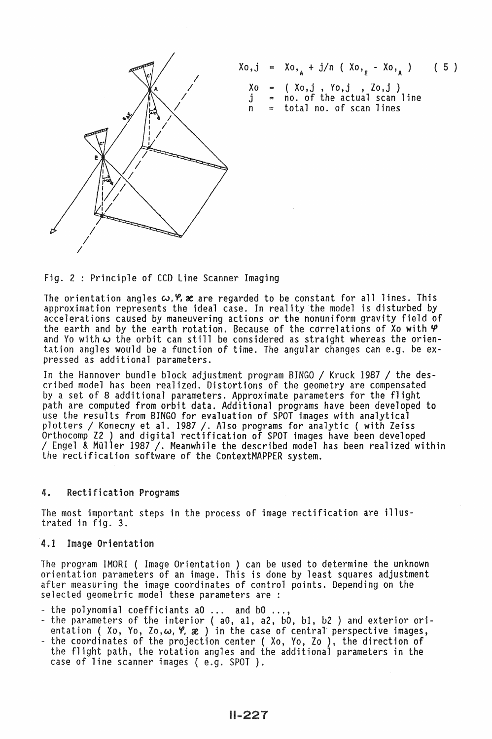

$$
Xo,j = Xo,_{A} + j/n (Xo,_{E} - Xo,_{A}) (5)
$$
  
\n
$$
Xo = (Xo,j, Yo,j, Zo,j)
$$
  
\n
$$
j = no. of the actual scan line
$$
  
\n
$$
n = total no. of scan lines
$$

Fig. 2 : Principle of CCD Line Scanner Imaging

The orientation angles  $\omega$ ,  $\varphi$ ,  $\chi$  are regarded to be constant for all lines. This approximation represents the ideal case. In reality the model is disturbed by accelerations caused by maneuvering actions or the nonuniform gravity field of the earth and by the earth rotation. Because of the correlations of Xo with  $\varphi$ and Yo with  $\omega$  the orbit can still be considered as straight whereas the orientation angles would be a function of time. The angular changes can e.g. be expressed as additional parameters.

In the Hannover bundle block adjustment program BINGO / Kruck 1987 / the described model has been realized. Distortions of the geometry are compensated<br>by a set of 8 additional parameters. Approximate parameters for the flight<br>path are computed from orbit data. Additional programs have been develo use the results from BINGO for evaluation of SPOT images with analytical<br>plotters / Konecny et al. 1987 /. Also programs for analytic (with Zeiss<br>Orthocomp Z2 ) and digital rectification of SPOT images have been developed  $\prime$  Engel & Müller 1987  $\prime$ . Meanwhile the described model has been realized within the rectification software of the ContextMAPPER system.

## 4. Rectification Programs

The most important steps in the process of image rectification are illustrated in fig. 3.

#### 4.1 Image Orientation

The program IMORI ( Image Orientation ) can be used to determine the unknown orientation parameters of an image. This is done by least squares adjustment after measuring the image coordinates of control points. Depending on the selected geometric model these parameters are :

- 
- the polynomial coefficiants aO ... and bO ...,<br>- the parameters of the interior ( aO, al, a2, bO, bl, b2 ) and exterior orientation (Xo, Yo, Zo,  $\omega$ ,  $\varphi$ ,  $\chi$ ) in the case of central perspective images,<br>- the coordinates of the projection center (Xo, Yo, Zo), the direction of
- the flight path, the rotation angles and the additional parameters in the case of line scanner images (e.g. SPOT).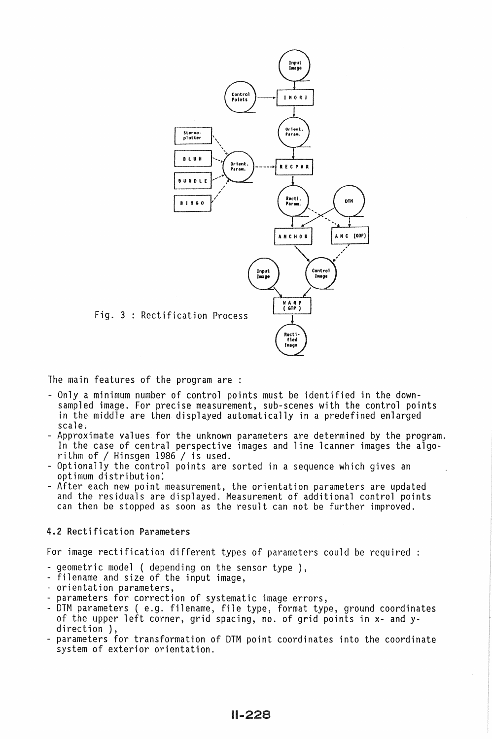

The main features of the program are :

- Only a minimum number of control points must be identified in the downsampled image. For precise measurement, sub-scenes with the control points in the middle are then displayed automatically in a predefined enlarged scale.
- Approximate values for the unknown parameters are determined by the program. In the case of central perspective images and line lcanner images the algo-<br>rithm of / Hinsqen 1986 / is used.
- Optionally the control points are sorted in a sequence which gives an<br>optimum distribution.
- After each new point measurement, the orientation parameters are updated and the residuals are displayed. Measurement of additional control points can then be stopped as soon as the result can not be further improved.

# 4.2 Rectification Parameters

For image rectification different types of parameters could be required

- -geometric model (depending on the sensor type ),
- filename and size of the input image,<br>- orientation parameters,
- 
- parameters for correction of systematic image errors,
- DTM parameters ( e.g. filename, file type, format type, ground coordinates of the upper left corner, grid spacing, no. of grid points in x- and y- direction ),
- parameters for transformation of DTM point coordinates into the coordinate system of exterior orientation.

11-228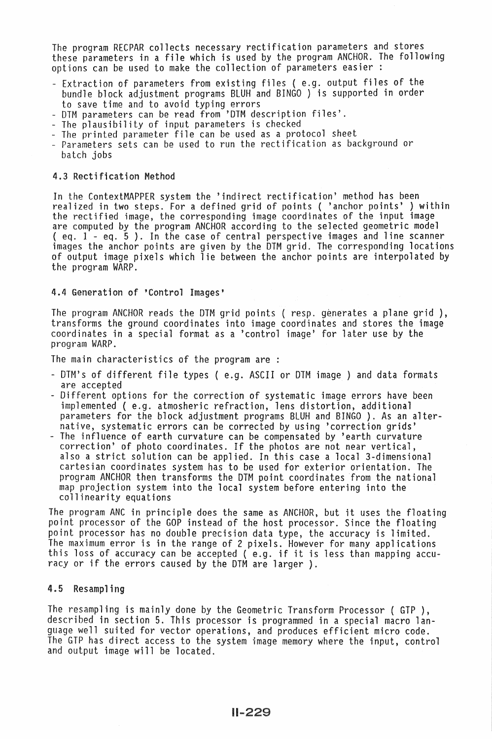The program RECPAR collects necessary rectification parameters and stores these parameters in a file which is used by the program ANCHOR. The following options can be used to make the collection of parameters easier :

- Extraction of parameters from existing files ( e.g. output files of the bundle block adjustment programs BLUH and BINGO ) is supported in order to save time and to avoid typing errors<br>- DTM parameters can be read from 'DTM description files'.<br>- The plausibility of input parameters is checked<br>- The printed parameter file can be used as a protocol sheet<br>- Parameters
- 
- 
- 
- batch jobs

## 4.3 Rectification Method

In the ContextMAPPER system the 'indirect rectification' method has been realized in two steps. For a defined grid of points ( 'anchor points' ) within the rectified image, the corresponding image coordinates of the input image are computed by the program ANCHOR according to the selected geometric model ( eq. 1 - eq. 5 ). In the case of central perspective images and line scanner images the anchor points are given by the DTM grid. The corresponding locations of output image pixels which lie between the anchor points are interpolated by<br>the program WARP.

## 4.4 Generation of 'Control Images'

The program ANCHOR reads the DTM grid points ( resp. generates a plane grid ), transforms the ground coordinates into image coordinates and stores the image coordinates in a special format as a 'control image' for later use by the program WARP.

The main characteristics of the program are :

- DTM's of different file types (e.g. ASCII or DTM image ) and data formats<br>are accepted
- Different options for the correction of systematic image errors have been implemented ( e.g. atmosheric refraction, lens distortion, additional parameters for the block adjustment programs BLUH and BINGO ). As an alter-<br>native, systematic errors can be corrected by using 'correction grids'
- The influence of earth curvature can be compensated by 'earth curvature correction' of photo coordinates. If the photos are not near vertical, also a strict solution can be applied. In this case a local 3-dimensional cartesian coordinates system has to be used for exterior orientation. The program ANCHOR then transforms the DTM point coordinates from the national map projection system into the local system before entering into the collinearity equations

The program ANC in principle does the same as ANCHOR, but it uses the floating point processor of the GOP instead of the host processor. Since the floating point processor has no double precision data type, the accuracy is limited. this loss of accuracy can be accepted ( e.g. if it is less than mapping accuracy or if the errors caused by the DTM are larger).

### 4.5 Resampling

The resampling is mainly done by the Geometric Transform Processor ( GTP ), described in section 5. This processor is programmed in a special macro language well suited for vector operations, and produces efficient micro code. The GTP has direct access to the system image memory where the input, control and output image will be located.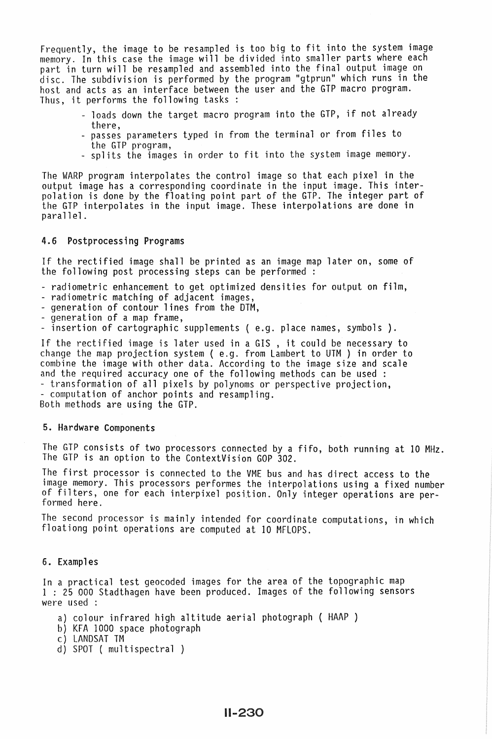Frequently, the image to be resampled is too big to fit into the system image memory. In this case the image will be divided into smaller parts where each part in turn will be resampled and assembled into the final output image on disc. The subdivision is performed by the program "gtprun" which runs in the host and acts as an interface between the user and the GTP macro program. Thus, it performs the following tasks :

- loads down the target macro program into the GTP, if not already
- there,<br>- passes parameters typed in from the terminal or from files to<br>the GTP program,
- splits the images in order to fit into the system image memory.

The WARP program interpolates the control image so that each pixel in the output image has a corresponding coordinate in the input image. This interpolation is done by the floating point part of the GTP. The integer part of the GTP interpolates in the input image. These interpolations are done in parallel.

#### 4.6 Postprocessing Programs

If the rectified image shall be printed as an image map later on, some of the following post processing steps can be performed

- radiometric enhancement to get optimized densities for output on film,<br>- radiometric matching of adjacent images,<br>- generation of contour lines from the DTM,<br>- generation of a map frame,<br>- insertion of cartographic suppl
- 
- 
- 
- 

If the rectified image is later used in a GIS , it could be necessary to change the map projection system ( e.g. from Lambert to UTM ) in order to combine the image with other data. According to the image size and scale and the required accuracy one of the following methods can be used :

- transformation of all pixels by polynoms or perspective projection,<br>- computation of anchor points and resampling.<br>Both methods are using the GTP.

### 5. Hardware Components

The GTP consists of two processors connected by a fifo, both running at 10 MHz. The GTP is an option to the ContextVision GOP 302.

The first processor is connected to the VME bus and has direct access to the image memory. This processors performes the interpolations using a fixed number of filters, one for each interpixel position. Only integer operations are per- formed here.

The second processor is mainly intended for coordinate computations, in which floationg point operations are computed at 10 MFLOPS.

#### 6. Examples

In a practical test geocoded images for the area of the topographic map 1 : 25 000 Stadthagen have been produced. Images of the following sensors were used :

- a) colour infrared high altitude aerial photograph { HAAP }
- b) KFA 1000 space photograph
- c) LANDSAT TM
- d) SPOT ( multispectral }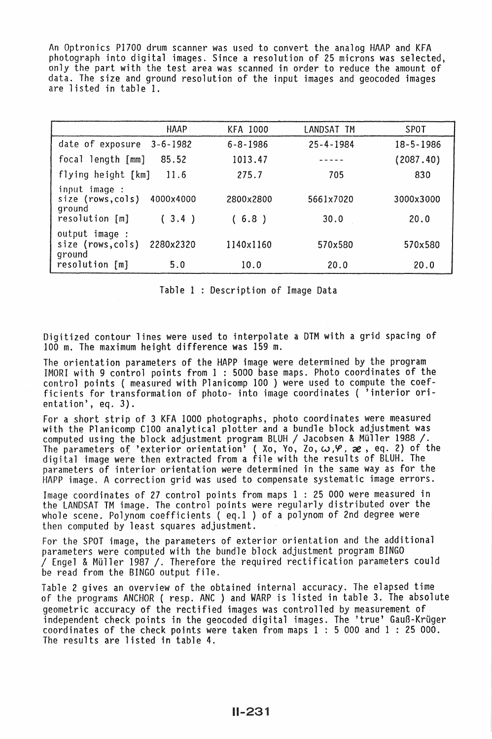An Optronics P1700 drum scanner was used to convert the analog HAAP and KFA photograph into digital images. Since a resolution of 25 microns was selected, only the part with the test area was scanned in order to reduce the amount of data. The size and ground resolution of the input images and geocoded images are listed in table 1.

|                                                                    | <b>HAAP</b>        | <b>KFA 1000</b>    | LANDSAT TM        | SPOT              |
|--------------------------------------------------------------------|--------------------|--------------------|-------------------|-------------------|
| date of exposure                                                   | $3 - 6 - 1982$     | $6 - 8 - 1986$     | $25 - 4 - 1984$   | $18 - 5 - 1986$   |
| focal length [mm]                                                  | 85.52              | 1013.47            | -----             | (2087.40)         |
| flying height [km]                                                 | 11.6               | 275.7              | 705               | 830               |
| input image :<br>size (rows, cols)<br>ground<br>$resolution$ $[m]$ | 4000x4000<br>(3.4) | 2800x2800<br>(6.8) | 5661x7020<br>30.0 | 3000x3000<br>20.0 |
| output image :<br>size (rows, cols)<br>ground                      | 2280x2320          | 1140x1160          | 570x580           | 570x580           |
| resolution [m]                                                     | 5.0                | 10.0               | 20.0              | 20.0              |

Table 1 : Description of Image Data

Digitized contour lines were used to interpolate a DTM with a grid spacing of 100 m. The maximum height difference was 159 m.

The orientation parameters of the HAPP image were determined by the program IMORI with 9 control points from 1 : 5000 base maps. Photo coordinates of the control points ( measured with Planicomp 100 ) were used to compute the coefficients for transformation of photo- into image coordinates ( 'interior orientation', eq. 3).

For a short strip of 3 KFA 1000 photographs, photo coordinates were measured with the Planicomp C100 analytical plotter and a bundle block adjustment was computed using the block adjustment program BLUH / Jacobsen & Müller 1988 /. The parameters o{ 'exterior orientation' { Xo, Yo, Zo, tv,~, *ae,* eq. 2) of the digital image were then extracted from a file with the results of BlUH. The parameters of interior orientation were determined in the same way as for the HAPP image. A correction grid was used to compensate systematic image errors.

Image coordinates of 27 control points from maps 1 : 25 000 were measured in the lANDSAT TM image. The control points were regularly distributed over the whole scene. Polynom coefficients ( eq.l ) of a polynom of 2nd degree were then computed by least squares adjustment.

For the SPOT image, the parameters of exterior orientation and the additional parameters were computed with the bundle block adjustment program BINGO / Engel & Müller 1987 /. Therefore the required rectification parameters could be read from the BINGO output file.

Table 2 gives an overview of the obtained internal accuracy. The elapsed time of the programs ANCHOR ( resp. ANC ) and WARP is listed in table 3. The absolute geometric accuracy of the rectified images was controlled by measurement of<br>independent check points in the geocoded digital images. The 'true' Gauß-Krüger coordinates of the check points were taken from maps  $1 : 5$  000 and 1 : 25 000. The results are listed in table 4.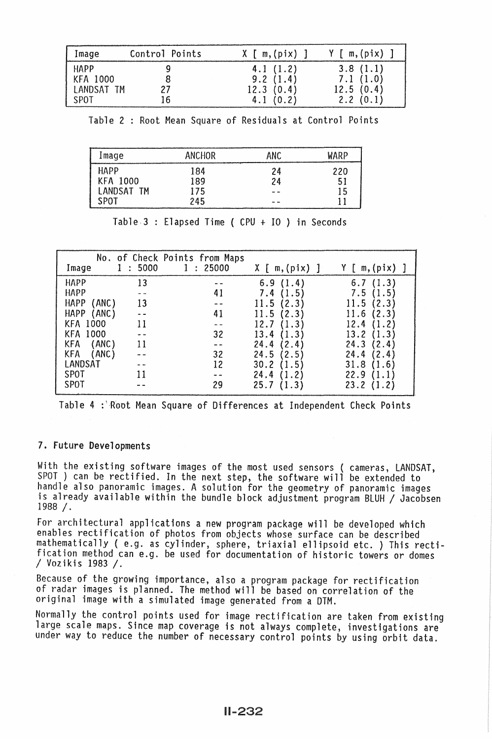| Image                                 | Control Points | $X \upharpoonright m, (pix)$ ]    | $Y \lceil m, (pix) \rceil$        |
|---------------------------------------|----------------|-----------------------------------|-----------------------------------|
| HAPP<br><b>KFA 1000</b><br>LANDSAT TM |                | 4.1(1.2)<br>9.2(1.4)<br>12.3(0.4) | 3.8(1.1)<br>7.1(1.0)<br>12.5(0.4) |
| SPOT                                  | .6             | 4.1(0.2)                          | 2.2(0.1)                          |

Table 2 : Root Mean Square of Residuals at Control Points

| Image      | <b>ANCHOR</b> | ANC.  | WARP |
|------------|---------------|-------|------|
| HAPP       | 184           | 24    | 220  |
| KFA 1000   | 189           | 24    | 51   |
| LANDSAT TM | 175           |       | 15   |
| SPOT       | 245           | and a |      |

| Image                | 5000<br>$\ddot{\cdot}$ | No. of Check Points from Maps<br>: 25000 | $X \lceil m, (pix) \rceil$ | $Y \upharpoonright m$ , (pix) |
|----------------------|------------------------|------------------------------------------|----------------------------|-------------------------------|
| <b>HAPP</b>          | 13                     |                                          | (1.4)<br>6.9               | (1.3)<br>6.7                  |
| <b>HAPP</b>          | cas sug-               | 41                                       | 7.4<br>(1.5)               | 7.5<br>(1.5)                  |
| <b>HAPP</b><br>(ANC) | 13                     |                                          | (2.3)<br>11.5              | $\left(2.3\right)$<br>11.5    |
| <b>HAPP</b><br>(ANC) |                        | 41                                       | 11.<br>5<br>2.3            | 11.6<br>2.3                   |
| <b>KFA 1000</b>      | 11                     |                                          | 12.7                       | 12.4                          |
| <b>KFA 1000</b>      |                        | 32                                       | 13.4<br>1.3                | 13.2<br>1.3                   |
| (ANC)<br><b>KFA</b>  | 11                     |                                          | 24.4<br>[2.4]              | 24.3<br>2.4                   |
| (ANC)<br><b>KFA</b>  |                        | 32                                       | 24.5<br>(2.5)              | 24.4<br>[2.4]                 |
| LANDSAT              |                        | 12                                       | 30.2<br>1.5                | 31.8<br>$.6^{\circ}$          |
| SPOT                 |                        |                                          | 24.4<br>1.2                | 22.9                          |
| <b>SPOT</b>          |                        | 29                                       | 25.7                       | 23.2                          |

Table.3 Elapsed Time ( CPU + IO ) in Seconds

Table 4 : Root Mean Square of Differences at Independent Check Points

### 7. Future Developments

With the existing software images of the most used sensors ( cameras, LANDSAT, SPOT ) can be rectified. In the next step, the software will be extended to handle also panoramic images. A solution for the geometry of panoramic images<br>is already available within the bundle block adjustment program BLUH / Jacobsen 1988 *I.* 

For architectural applications a new program package will be developed which enables rectification of photos from objects whose surface can be described mathematically ( e.g. as cylinder, sphere, triaxial ellipsoid etc. ) This rectification method can e.g. be used for documentation of historic towers or domes *I* Vozikis 1983 *1.* 

Because of the growing importance, also a program package for rectification of radar images is planned. The method will be based on correlation of the original image with a simulated image generated from a DTM.

Normally the control points used for image rectification are taken from existing large scale maps. Since map coverage is not always complete, investigations are under way to reduce the number of necessary control points by using orbit data.